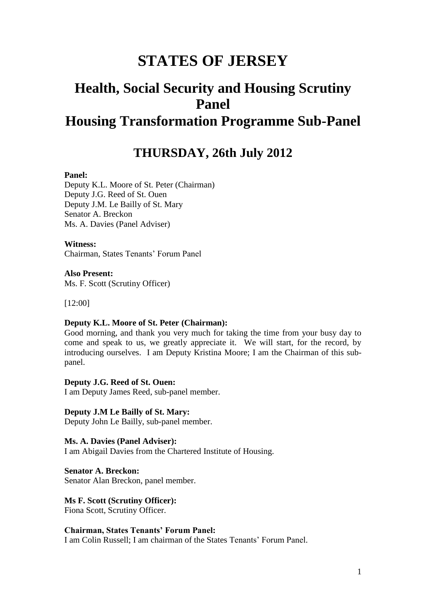## **STATES OF JERSEY**

# **Health, Social Security and Housing Scrutiny Panel Housing Transformation Programme Sub-Panel**

## **THURSDAY, 26th July 2012**

## **Panel:**

Deputy K.L. Moore of St. Peter (Chairman) Deputy J.G. Reed of St. Ouen Deputy J.M. Le Bailly of St. Mary Senator A. Breckon Ms. A. Davies (Panel Adviser)

#### **Witness:**

Chairman, States Tenants' Forum Panel

## **Also Present:**

Ms. F. Scott (Scrutiny Officer)

#### [12:00]

#### **Deputy K.L. Moore of St. Peter (Chairman):**

Good morning, and thank you very much for taking the time from your busy day to come and speak to us, we greatly appreciate it. We will start, for the record, by introducing ourselves. I am Deputy Kristina Moore; I am the Chairman of this subpanel.

#### **Deputy J.G. Reed of St. Ouen:**

I am Deputy James Reed, sub-panel member.

#### **Deputy J.M Le Bailly of St. Mary:** Deputy John Le Bailly, sub-panel member.

**Ms. A. Davies (Panel Adviser):** I am Abigail Davies from the Chartered Institute of Housing.

**Senator A. Breckon:** Senator Alan Breckon, panel member.

## **Ms F. Scott (Scrutiny Officer):**

Fiona Scott, Scrutiny Officer.

#### **Chairman, States Tenants' Forum Panel:**

I am Colin Russell; I am chairman of the States Tenants' Forum Panel.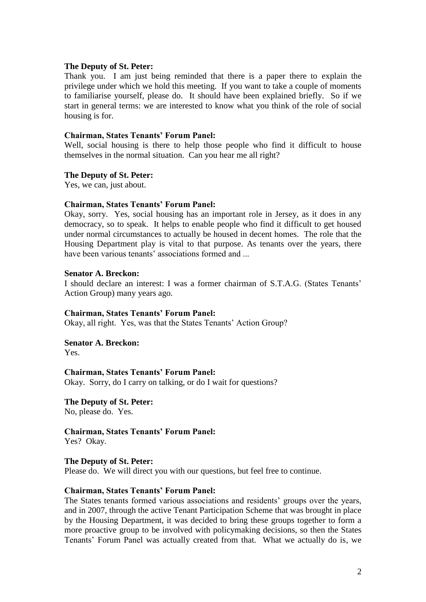#### **The Deputy of St. Peter:**

Thank you. I am just being reminded that there is a paper there to explain the privilege under which we hold this meeting. If you want to take a couple of moments to familiarise yourself, please do. It should have been explained briefly. So if we start in general terms: we are interested to know what you think of the role of social housing is for.

#### **Chairman, States Tenants' Forum Panel:**

Well, social housing is there to help those people who find it difficult to house themselves in the normal situation. Can you hear me all right?

#### **The Deputy of St. Peter:**

Yes, we can, just about.

#### **Chairman, States Tenants' Forum Panel:**

Okay, sorry. Yes, social housing has an important role in Jersey, as it does in any democracy, so to speak. It helps to enable people who find it difficult to get housed under normal circumstances to actually be housed in decent homes. The role that the Housing Department play is vital to that purpose. As tenants over the years, there have been various tenants' associations formed and ...

## **Senator A. Breckon:**

I should declare an interest: I was a former chairman of S.T.A.G. (States Tenants' Action Group) many years ago.

## **Chairman, States Tenants' Forum Panel:**

Okay, all right. Yes, was that the States Tenants' Action Group?

**Senator A. Breckon:**

Yes.

## **Chairman, States Tenants' Forum Panel:**

Okay. Sorry, do I carry on talking, or do I wait for questions?

**The Deputy of St. Peter:** No, please do. Yes.

**Chairman, States Tenants' Forum Panel:**

Yes? Okay.

#### **The Deputy of St. Peter:**

Please do. We will direct you with our questions, but feel free to continue.

## **Chairman, States Tenants' Forum Panel:**

The States tenants formed various associations and residents' groups over the years, and in 2007, through the active Tenant Participation Scheme that was brought in place by the Housing Department, it was decided to bring these groups together to form a more proactive group to be involved with policymaking decisions, so then the States Tenants' Forum Panel was actually created from that. What we actually do is, we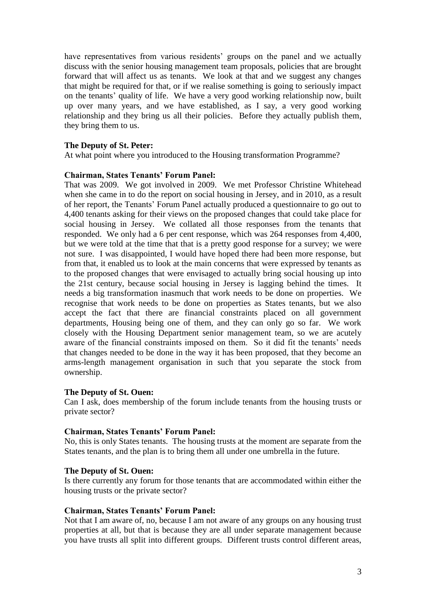have representatives from various residents' groups on the panel and we actually discuss with the senior housing management team proposals, policies that are brought forward that will affect us as tenants. We look at that and we suggest any changes that might be required for that, or if we realise something is going to seriously impact on the tenants' quality of life. We have a very good working relationship now, built up over many years, and we have established, as I say, a very good working relationship and they bring us all their policies. Before they actually publish them, they bring them to us.

## **The Deputy of St. Peter:**

At what point where you introduced to the Housing transformation Programme?

#### **Chairman, States Tenants' Forum Panel:**

That was 2009. We got involved in 2009. We met Professor Christine Whitehead when she came in to do the report on social housing in Jersey, and in 2010, as a result of her report, the Tenants' Forum Panel actually produced a questionnaire to go out to 4,400 tenants asking for their views on the proposed changes that could take place for social housing in Jersey. We collated all those responses from the tenants that responded. We only had a 6 per cent response, which was 264 responses from 4,400, but we were told at the time that that is a pretty good response for a survey; we were not sure. I was disappointed, I would have hoped there had been more response, but from that, it enabled us to look at the main concerns that were expressed by tenants as to the proposed changes that were envisaged to actually bring social housing up into the 21st century, because social housing in Jersey is lagging behind the times. It needs a big transformation inasmuch that work needs to be done on properties. We recognise that work needs to be done on properties as States tenants, but we also accept the fact that there are financial constraints placed on all government departments, Housing being one of them, and they can only go so far. We work closely with the Housing Department senior management team, so we are acutely aware of the financial constraints imposed on them. So it did fit the tenants' needs that changes needed to be done in the way it has been proposed, that they become an arms-length management organisation in such that you separate the stock from ownership.

#### **The Deputy of St. Ouen:**

Can I ask, does membership of the forum include tenants from the housing trusts or private sector?

#### **Chairman, States Tenants' Forum Panel:**

No, this is only States tenants. The housing trusts at the moment are separate from the States tenants, and the plan is to bring them all under one umbrella in the future.

## **The Deputy of St. Ouen:**

Is there currently any forum for those tenants that are accommodated within either the housing trusts or the private sector?

#### **Chairman, States Tenants' Forum Panel:**

Not that I am aware of, no, because I am not aware of any groups on any housing trust properties at all, but that is because they are all under separate management because you have trusts all split into different groups. Different trusts control different areas,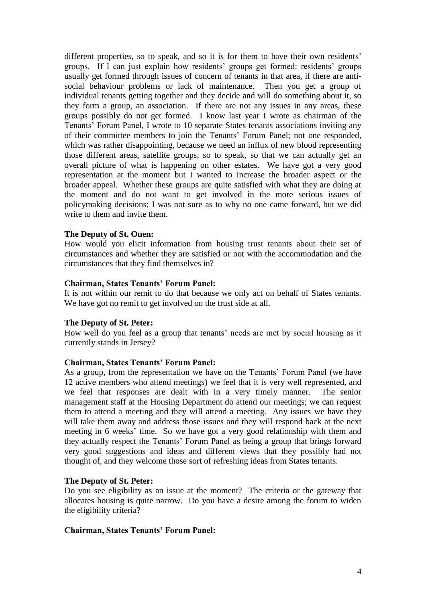different properties, so to speak, and so it is for them to have their own residents' groups. If I can just explain how residents' groups get formed: residents' groups usually get formed through issues of concern of tenants in that area, if there are antisocial behaviour problems or lack of maintenance. Then you get a group of individual tenants getting together and they decide and will do something about it, so they form a group, an association. If there are not any issues in any areas, these groups possibly do not get formed. I know last year I wrote as chairman of the Tenants' Forum Panel, I wrote to 10 separate States tenants associations inviting any of their committee members to join the Tenants' Forum Panel; not one responded, which was rather disappointing, because we need an influx of new blood representing those different areas, satellite groups, so to speak, so that we can actually get an overall picture of what is happening on other estates. We have got a very good representation at the moment but I wanted to increase the broader aspect or the broader appeal. Whether these groups are quite satisfied with what they are doing at the moment and do not want to get involved in the more serious issues of policymaking decisions; I was not sure as to why no one came forward, but we did write to them and invite them.

#### **The Deputy of St. Ouen:**

How would you elicit information from housing trust tenants about their set of circumstances and whether they are satisfied or not with the accommodation and the circumstances that they find themselves in?

#### **Chairman, States Tenants' Forum Panel:**

It is not within our remit to do that because we only act on behalf of States tenants. We have got no remit to get involved on the trust side at all.

#### **The Deputy of St. Peter:**

How well do you feel as a group that tenants' needs are met by social housing as it currently stands in Jersey?

#### **Chairman, States Tenants' Forum Panel:**

As a group, from the representation we have on the Tenants' Forum Panel (we have 12 active members who attend meetings) we feel that it is very well represented, and we feel that responses are dealt with in a very timely manner. The senior management staff at the Housing Department do attend our meetings; we can request them to attend a meeting and they will attend a meeting. Any issues we have they will take them away and address those issues and they will respond back at the next meeting in 6 weeks' time. So we have got a very good relationship with them and they actually respect the Tenants' Forum Panel as being a group that brings forward very good suggestions and ideas and different views that they possibly had not thought of, and they welcome those sort of refreshing ideas from States tenants.

## **The Deputy of St. Peter:**

Do you see eligibility as an issue at the moment? The criteria or the gateway that allocates housing is quite narrow. Do you have a desire among the forum to widen the eligibility criteria?

#### **Chairman, States Tenants' Forum Panel:**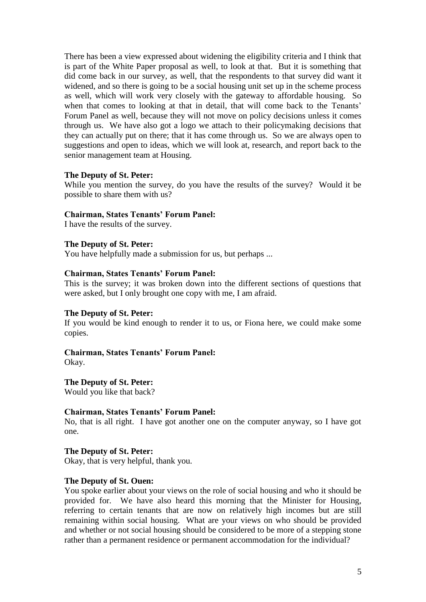There has been a view expressed about widening the eligibility criteria and I think that is part of the White Paper proposal as well, to look at that. But it is something that did come back in our survey, as well, that the respondents to that survey did want it widened, and so there is going to be a social housing unit set up in the scheme process as well, which will work very closely with the gateway to affordable housing. So when that comes to looking at that in detail, that will come back to the Tenants' Forum Panel as well, because they will not move on policy decisions unless it comes through us. We have also got a logo we attach to their policymaking decisions that they can actually put on there; that it has come through us. So we are always open to suggestions and open to ideas, which we will look at, research, and report back to the senior management team at Housing.

#### **The Deputy of St. Peter:**

While you mention the survey, do you have the results of the survey? Would it be possible to share them with us?

## **Chairman, States Tenants' Forum Panel:**

I have the results of the survey.

#### **The Deputy of St. Peter:**

You have helpfully made a submission for us, but perhaps ...

#### **Chairman, States Tenants' Forum Panel:**

This is the survey; it was broken down into the different sections of questions that were asked, but I only brought one copy with me, I am afraid.

## **The Deputy of St. Peter:**

If you would be kind enough to render it to us, or Fiona here, we could make some copies.

## **Chairman, States Tenants' Forum Panel:**

Okay.

**The Deputy of St. Peter:**

Would you like that back?

#### **Chairman, States Tenants' Forum Panel:**

No, that is all right. I have got another one on the computer anyway, so I have got one.

**The Deputy of St. Peter:**

Okay, that is very helpful, thank you.

## **The Deputy of St. Ouen:**

You spoke earlier about your views on the role of social housing and who it should be provided for. We have also heard this morning that the Minister for Housing, referring to certain tenants that are now on relatively high incomes but are still remaining within social housing. What are your views on who should be provided and whether or not social housing should be considered to be more of a stepping stone rather than a permanent residence or permanent accommodation for the individual?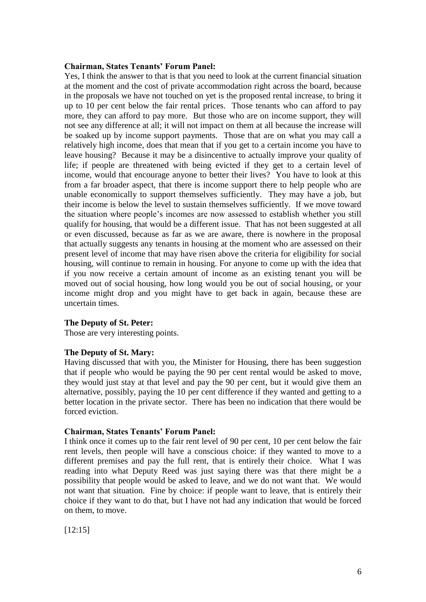#### **Chairman, States Tenants' Forum Panel:**

Yes, I think the answer to that is that you need to look at the current financial situation at the moment and the cost of private accommodation right across the board, because in the proposals we have not touched on yet is the proposed rental increase, to bring it up to 10 per cent below the fair rental prices. Those tenants who can afford to pay more, they can afford to pay more. But those who are on income support, they will not see any difference at all; it will not impact on them at all because the increase will be soaked up by income support payments. Those that are on what you may call a relatively high income, does that mean that if you get to a certain income you have to leave housing? Because it may be a disincentive to actually improve your quality of life; if people are threatened with being evicted if they get to a certain level of income, would that encourage anyone to better their lives? You have to look at this from a far broader aspect, that there is income support there to help people who are unable economically to support themselves sufficiently. They may have a job, but their income is below the level to sustain themselves sufficiently. If we move toward the situation where people's incomes are now assessed to establish whether you still qualify for housing, that would be a different issue. That has not been suggested at all or even discussed, because as far as we are aware, there is nowhere in the proposal that actually suggests any tenants in housing at the moment who are assessed on their present level of income that may have risen above the criteria for eligibility for social housing, will continue to remain in housing. For anyone to come up with the idea that if you now receive a certain amount of income as an existing tenant you will be moved out of social housing, how long would you be out of social housing, or your income might drop and you might have to get back in again, because these are uncertain times.

## **The Deputy of St. Peter:**

Those are very interesting points.

## **The Deputy of St. Mary:**

Having discussed that with you, the Minister for Housing, there has been suggestion that if people who would be paying the 90 per cent rental would be asked to move, they would just stay at that level and pay the 90 per cent, but it would give them an alternative, possibly, paying the 10 per cent difference if they wanted and getting to a better location in the private sector. There has been no indication that there would be forced eviction.

## **Chairman, States Tenants' Forum Panel:**

I think once it comes up to the fair rent level of 90 per cent, 10 per cent below the fair rent levels, then people will have a conscious choice: if they wanted to move to a different premises and pay the full rent, that is entirely their choice. What I was reading into what Deputy Reed was just saying there was that there might be a possibility that people would be asked to leave, and we do not want that. We would not want that situation. Fine by choice: if people want to leave, that is entirely their choice if they want to do that, but I have not had any indication that would be forced on them, to move.

[12:15]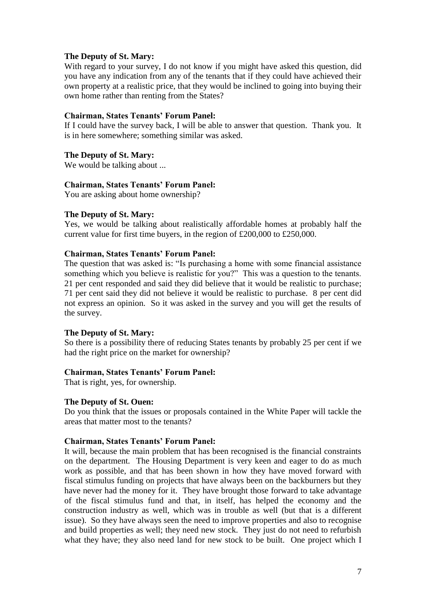## **The Deputy of St. Mary:**

With regard to your survey, I do not know if you might have asked this question, did you have any indication from any of the tenants that if they could have achieved their own property at a realistic price, that they would be inclined to going into buying their own home rather than renting from the States?

## **Chairman, States Tenants' Forum Panel:**

If I could have the survey back, I will be able to answer that question. Thank you. It is in here somewhere; something similar was asked.

## **The Deputy of St. Mary:**

We would be talking about ...

## **Chairman, States Tenants' Forum Panel:**

You are asking about home ownership?

## **The Deputy of St. Mary:**

Yes, we would be talking about realistically affordable homes at probably half the current value for first time buyers, in the region of £200,000 to £250,000.

## **Chairman, States Tenants' Forum Panel:**

The question that was asked is: "Is purchasing a home with some financial assistance something which you believe is realistic for you?" This was a question to the tenants. 21 per cent responded and said they did believe that it would be realistic to purchase; 71 per cent said they did not believe it would be realistic to purchase. 8 per cent did not express an opinion. So it was asked in the survey and you will get the results of the survey.

## **The Deputy of St. Mary:**

So there is a possibility there of reducing States tenants by probably 25 per cent if we had the right price on the market for ownership?

## **Chairman, States Tenants' Forum Panel:**

That is right, yes, for ownership.

## **The Deputy of St. Ouen:**

Do you think that the issues or proposals contained in the White Paper will tackle the areas that matter most to the tenants?

## **Chairman, States Tenants' Forum Panel:**

It will, because the main problem that has been recognised is the financial constraints on the department. The Housing Department is very keen and eager to do as much work as possible, and that has been shown in how they have moved forward with fiscal stimulus funding on projects that have always been on the backburners but they have never had the money for it. They have brought those forward to take advantage of the fiscal stimulus fund and that, in itself, has helped the economy and the construction industry as well, which was in trouble as well (but that is a different issue). So they have always seen the need to improve properties and also to recognise and build properties as well; they need new stock. They just do not need to refurbish what they have; they also need land for new stock to be built. One project which I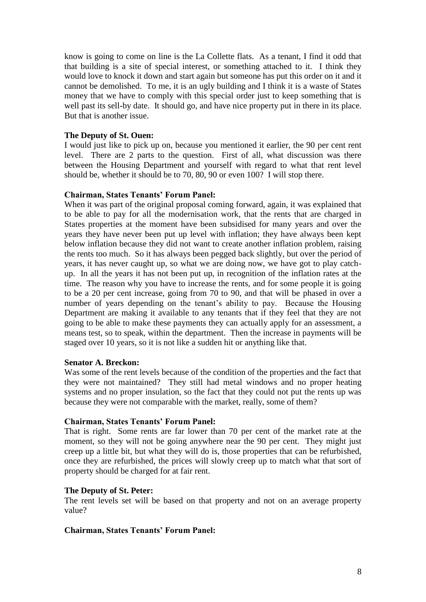know is going to come on line is the La Collette flats. As a tenant, I find it odd that that building is a site of special interest, or something attached to it. I think they would love to knock it down and start again but someone has put this order on it and it cannot be demolished. To me, it is an ugly building and I think it is a waste of States money that we have to comply with this special order just to keep something that is well past its sell-by date. It should go, and have nice property put in there in its place. But that is another issue.

## **The Deputy of St. Ouen:**

I would just like to pick up on, because you mentioned it earlier, the 90 per cent rent level. There are 2 parts to the question. First of all, what discussion was there between the Housing Department and yourself with regard to what that rent level should be, whether it should be to 70, 80, 90 or even 100? I will stop there.

## **Chairman, States Tenants' Forum Panel:**

When it was part of the original proposal coming forward, again, it was explained that to be able to pay for all the modernisation work, that the rents that are charged in States properties at the moment have been subsidised for many years and over the years they have never been put up level with inflation; they have always been kept below inflation because they did not want to create another inflation problem, raising the rents too much. So it has always been pegged back slightly, but over the period of years, it has never caught up, so what we are doing now, we have got to play catchup. In all the years it has not been put up, in recognition of the inflation rates at the time. The reason why you have to increase the rents, and for some people it is going to be a 20 per cent increase, going from 70 to 90, and that will be phased in over a number of years depending on the tenant's ability to pay. Because the Housing Department are making it available to any tenants that if they feel that they are not going to be able to make these payments they can actually apply for an assessment, a means test, so to speak, within the department. Then the increase in payments will be staged over 10 years, so it is not like a sudden hit or anything like that.

## **Senator A. Breckon:**

Was some of the rent levels because of the condition of the properties and the fact that they were not maintained? They still had metal windows and no proper heating systems and no proper insulation, so the fact that they could not put the rents up was because they were not comparable with the market, really, some of them?

## **Chairman, States Tenants' Forum Panel:**

That is right. Some rents are far lower than 70 per cent of the market rate at the moment, so they will not be going anywhere near the 90 per cent. They might just creep up a little bit, but what they will do is, those properties that can be refurbished, once they are refurbished, the prices will slowly creep up to match what that sort of property should be charged for at fair rent.

## **The Deputy of St. Peter:**

The rent levels set will be based on that property and not on an average property value?

## **Chairman, States Tenants' Forum Panel:**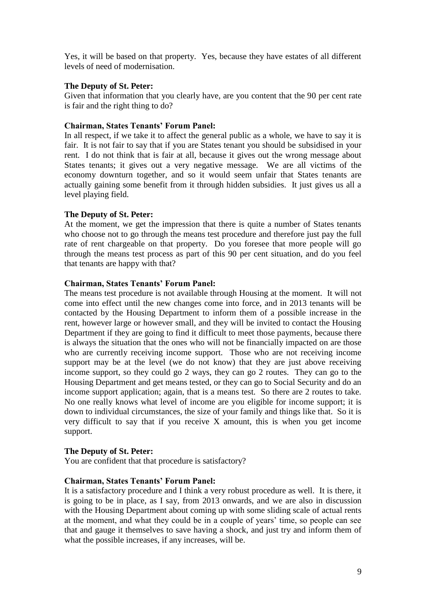Yes, it will be based on that property. Yes, because they have estates of all different levels of need of modernisation.

## **The Deputy of St. Peter:**

Given that information that you clearly have, are you content that the 90 per cent rate is fair and the right thing to do?

## **Chairman, States Tenants' Forum Panel:**

In all respect, if we take it to affect the general public as a whole, we have to say it is fair. It is not fair to say that if you are States tenant you should be subsidised in your rent. I do not think that is fair at all, because it gives out the wrong message about States tenants; it gives out a very negative message. We are all victims of the economy downturn together, and so it would seem unfair that States tenants are actually gaining some benefit from it through hidden subsidies. It just gives us all a level playing field.

## **The Deputy of St. Peter:**

At the moment, we get the impression that there is quite a number of States tenants who choose not to go through the means test procedure and therefore just pay the full rate of rent chargeable on that property. Do you foresee that more people will go through the means test process as part of this 90 per cent situation, and do you feel that tenants are happy with that?

## **Chairman, States Tenants' Forum Panel:**

The means test procedure is not available through Housing at the moment. It will not come into effect until the new changes come into force, and in 2013 tenants will be contacted by the Housing Department to inform them of a possible increase in the rent, however large or however small, and they will be invited to contact the Housing Department if they are going to find it difficult to meet those payments, because there is always the situation that the ones who will not be financially impacted on are those who are currently receiving income support. Those who are not receiving income support may be at the level (we do not know) that they are just above receiving income support, so they could go 2 ways, they can go 2 routes. They can go to the Housing Department and get means tested, or they can go to Social Security and do an income support application; again, that is a means test. So there are 2 routes to take. No one really knows what level of income are you eligible for income support; it is down to individual circumstances, the size of your family and things like that. So it is very difficult to say that if you receive X amount, this is when you get income support.

## **The Deputy of St. Peter:**

You are confident that that procedure is satisfactory?

## **Chairman, States Tenants' Forum Panel:**

It is a satisfactory procedure and I think a very robust procedure as well. It is there, it is going to be in place, as I say, from 2013 onwards, and we are also in discussion with the Housing Department about coming up with some sliding scale of actual rents at the moment, and what they could be in a couple of years' time, so people can see that and gauge it themselves to save having a shock, and just try and inform them of what the possible increases, if any increases, will be.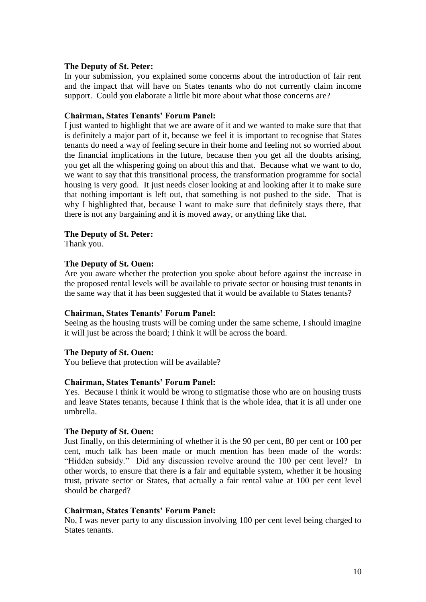## **The Deputy of St. Peter:**

In your submission, you explained some concerns about the introduction of fair rent and the impact that will have on States tenants who do not currently claim income support. Could you elaborate a little bit more about what those concerns are?

#### **Chairman, States Tenants' Forum Panel:**

I just wanted to highlight that we are aware of it and we wanted to make sure that that is definitely a major part of it, because we feel it is important to recognise that States tenants do need a way of feeling secure in their home and feeling not so worried about the financial implications in the future, because then you get all the doubts arising, you get all the whispering going on about this and that. Because what we want to do, we want to say that this transitional process, the transformation programme for social housing is very good. It just needs closer looking at and looking after it to make sure that nothing important is left out, that something is not pushed to the side. That is why I highlighted that, because I want to make sure that definitely stays there, that there is not any bargaining and it is moved away, or anything like that.

#### **The Deputy of St. Peter:**

Thank you.

## **The Deputy of St. Ouen:**

Are you aware whether the protection you spoke about before against the increase in the proposed rental levels will be available to private sector or housing trust tenants in the same way that it has been suggested that it would be available to States tenants?

## **Chairman, States Tenants' Forum Panel:**

Seeing as the housing trusts will be coming under the same scheme, I should imagine it will just be across the board; I think it will be across the board.

## **The Deputy of St. Ouen:**

You believe that protection will be available?

#### **Chairman, States Tenants' Forum Panel:**

Yes. Because I think it would be wrong to stigmatise those who are on housing trusts and leave States tenants, because I think that is the whole idea, that it is all under one umbrella.

#### **The Deputy of St. Ouen:**

Just finally, on this determining of whether it is the 90 per cent, 80 per cent or 100 per cent, much talk has been made or much mention has been made of the words: "Hidden subsidy." Did any discussion revolve around the 100 per cent level? In other words, to ensure that there is a fair and equitable system, whether it be housing trust, private sector or States, that actually a fair rental value at 100 per cent level should be charged?

#### **Chairman, States Tenants' Forum Panel:**

No, I was never party to any discussion involving 100 per cent level being charged to States tenants.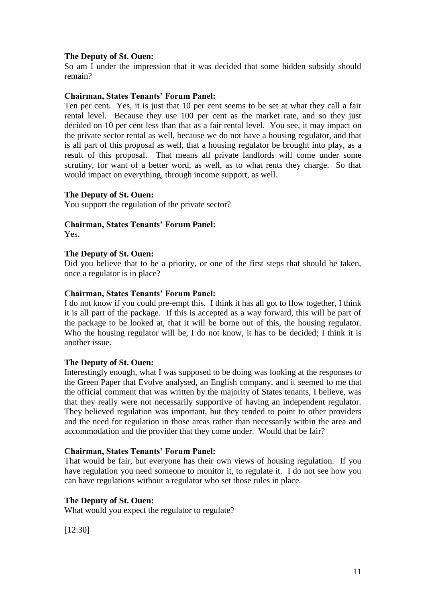## **The Deputy of St. Ouen:**

So am I under the impression that it was decided that some hidden subsidy should remain?

#### **Chairman, States Tenants' Forum Panel:**

Ten per cent. Yes, it is just that 10 per cent seems to be set at what they call a fair rental level. Because they use 100 per cent as the market rate, and so they just decided on 10 per cent less than that as a fair rental level. You see, it may impact on the private sector rental as well, because we do not have a housing regulator, and that is all part of this proposal as well, that a housing regulator be brought into play, as a result of this proposal. That means all private landlords will come under some scrutiny, for want of a better word, as well, as to what rents they charge. So that would impact on everything, through income support, as well.

#### **The Deputy of St. Ouen:**

You support the regulation of the private sector?

## **Chairman, States Tenants' Forum Panel:**

Yes.

#### **The Deputy of St. Ouen:**

Did you believe that to be a priority, or one of the first steps that should be taken, once a regulator is in place?

#### **Chairman, States Tenants' Forum Panel:**

I do not know if you could pre-empt this. I think it has all got to flow together, I think it is all part of the package. If this is accepted as a way forward, this will be part of the package to be looked at, that it will be borne out of this, the housing regulator. Who the housing regulator will be, I do not know, it has to be decided; I think it is another issue.

#### **The Deputy of St. Ouen:**

Interestingly enough, what I was supposed to be doing was looking at the responses to the Green Paper that Evolve analysed, an English company, and it seemed to me that the official comment that was written by the majority of States tenants, I believe, was that they really were not necessarily supportive of having an independent regulator. They believed regulation was important, but they tended to point to other providers and the need for regulation in those areas rather than necessarily within the area and accommodation and the provider that they come under. Would that be fair?

#### **Chairman, States Tenants' Forum Panel:**

That would be fair, but everyone has their own views of housing regulation. If you have regulation you need someone to monitor it, to regulate it. I do not see how you can have regulations without a regulator who set those rules in place.

#### **The Deputy of St. Ouen:**

What would you expect the regulator to regulate?

[12:30]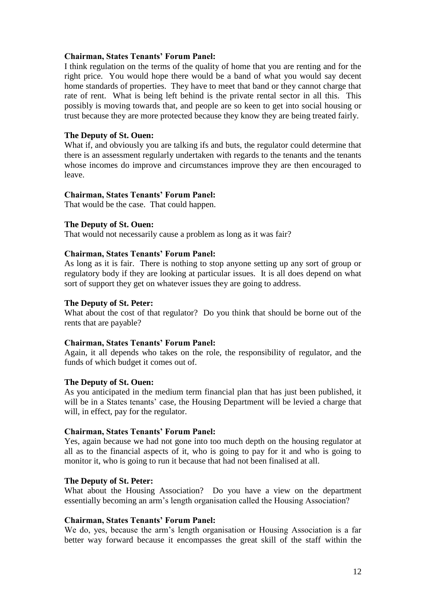## **Chairman, States Tenants' Forum Panel:**

I think regulation on the terms of the quality of home that you are renting and for the right price. You would hope there would be a band of what you would say decent home standards of properties. They have to meet that band or they cannot charge that rate of rent. What is being left behind is the private rental sector in all this. This possibly is moving towards that, and people are so keen to get into social housing or trust because they are more protected because they know they are being treated fairly.

## **The Deputy of St. Ouen:**

What if, and obviously you are talking ifs and buts, the regulator could determine that there is an assessment regularly undertaken with regards to the tenants and the tenants whose incomes do improve and circumstances improve they are then encouraged to leave.

## **Chairman, States Tenants' Forum Panel:**

That would be the case. That could happen.

## **The Deputy of St. Ouen:**

That would not necessarily cause a problem as long as it was fair?

## **Chairman, States Tenants' Forum Panel:**

As long as it is fair. There is nothing to stop anyone setting up any sort of group or regulatory body if they are looking at particular issues. It is all does depend on what sort of support they get on whatever issues they are going to address.

## **The Deputy of St. Peter:**

What about the cost of that regulator? Do you think that should be borne out of the rents that are payable?

## **Chairman, States Tenants' Forum Panel:**

Again, it all depends who takes on the role, the responsibility of regulator, and the funds of which budget it comes out of.

## **The Deputy of St. Ouen:**

As you anticipated in the medium term financial plan that has just been published, it will be in a States tenants' case, the Housing Department will be levied a charge that will, in effect, pay for the regulator.

## **Chairman, States Tenants' Forum Panel:**

Yes, again because we had not gone into too much depth on the housing regulator at all as to the financial aspects of it, who is going to pay for it and who is going to monitor it, who is going to run it because that had not been finalised at all.

## **The Deputy of St. Peter:**

What about the Housing Association? Do you have a view on the department essentially becoming an arm's length organisation called the Housing Association?

## **Chairman, States Tenants' Forum Panel:**

We do, yes, because the arm's length organisation or Housing Association is a far better way forward because it encompasses the great skill of the staff within the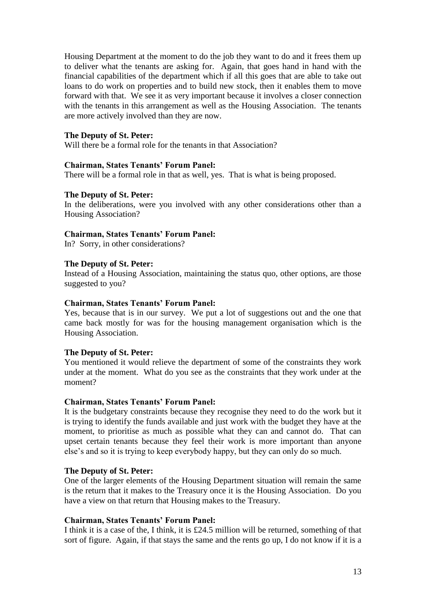Housing Department at the moment to do the job they want to do and it frees them up to deliver what the tenants are asking for. Again, that goes hand in hand with the financial capabilities of the department which if all this goes that are able to take out loans to do work on properties and to build new stock, then it enables them to move forward with that. We see it as very important because it involves a closer connection with the tenants in this arrangement as well as the Housing Association. The tenants are more actively involved than they are now.

## **The Deputy of St. Peter:**

Will there be a formal role for the tenants in that Association?

## **Chairman, States Tenants' Forum Panel:**

There will be a formal role in that as well, yes. That is what is being proposed.

## **The Deputy of St. Peter:**

In the deliberations, were you involved with any other considerations other than a Housing Association?

## **Chairman, States Tenants' Forum Panel:**

In? Sorry, in other considerations?

## **The Deputy of St. Peter:**

Instead of a Housing Association, maintaining the status quo, other options, are those suggested to you?

## **Chairman, States Tenants' Forum Panel:**

Yes, because that is in our survey. We put a lot of suggestions out and the one that came back mostly for was for the housing management organisation which is the Housing Association.

## **The Deputy of St. Peter:**

You mentioned it would relieve the department of some of the constraints they work under at the moment. What do you see as the constraints that they work under at the moment?

## **Chairman, States Tenants' Forum Panel:**

It is the budgetary constraints because they recognise they need to do the work but it is trying to identify the funds available and just work with the budget they have at the moment, to prioritise as much as possible what they can and cannot do. That can upset certain tenants because they feel their work is more important than anyone else's and so it is trying to keep everybody happy, but they can only do so much.

## **The Deputy of St. Peter:**

One of the larger elements of the Housing Department situation will remain the same is the return that it makes to the Treasury once it is the Housing Association. Do you have a view on that return that Housing makes to the Treasury.

## **Chairman, States Tenants' Forum Panel:**

I think it is a case of the, I think, it is £24.5 million will be returned, something of that sort of figure. Again, if that stays the same and the rents go up, I do not know if it is a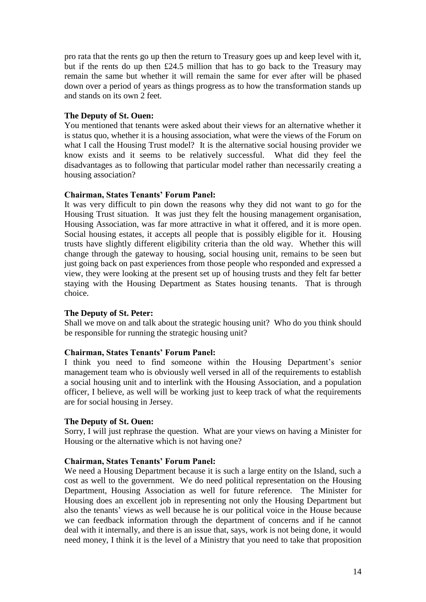pro rata that the rents go up then the return to Treasury goes up and keep level with it, but if the rents do up then £24.5 million that has to go back to the Treasury may remain the same but whether it will remain the same for ever after will be phased down over a period of years as things progress as to how the transformation stands up and stands on its own 2 feet.

## **The Deputy of St. Ouen:**

You mentioned that tenants were asked about their views for an alternative whether it is status quo, whether it is a housing association, what were the views of the Forum on what I call the Housing Trust model? It is the alternative social housing provider we know exists and it seems to be relatively successful. What did they feel the disadvantages as to following that particular model rather than necessarily creating a housing association?

## **Chairman, States Tenants' Forum Panel:**

It was very difficult to pin down the reasons why they did not want to go for the Housing Trust situation. It was just they felt the housing management organisation, Housing Association, was far more attractive in what it offered, and it is more open. Social housing estates, it accepts all people that is possibly eligible for it. Housing trusts have slightly different eligibility criteria than the old way. Whether this will change through the gateway to housing, social housing unit, remains to be seen but just going back on past experiences from those people who responded and expressed a view, they were looking at the present set up of housing trusts and they felt far better staying with the Housing Department as States housing tenants. That is through choice.

## **The Deputy of St. Peter:**

Shall we move on and talk about the strategic housing unit? Who do you think should be responsible for running the strategic housing unit?

## **Chairman, States Tenants' Forum Panel:**

I think you need to find someone within the Housing Department's senior management team who is obviously well versed in all of the requirements to establish a social housing unit and to interlink with the Housing Association, and a population officer, I believe, as well will be working just to keep track of what the requirements are for social housing in Jersey.

## **The Deputy of St. Ouen:**

Sorry, I will just rephrase the question. What are your views on having a Minister for Housing or the alternative which is not having one?

## **Chairman, States Tenants' Forum Panel:**

We need a Housing Department because it is such a large entity on the Island, such a cost as well to the government. We do need political representation on the Housing Department, Housing Association as well for future reference. The Minister for Housing does an excellent job in representing not only the Housing Department but also the tenants' views as well because he is our political voice in the House because we can feedback information through the department of concerns and if he cannot deal with it internally, and there is an issue that, says, work is not being done, it would need money, I think it is the level of a Ministry that you need to take that proposition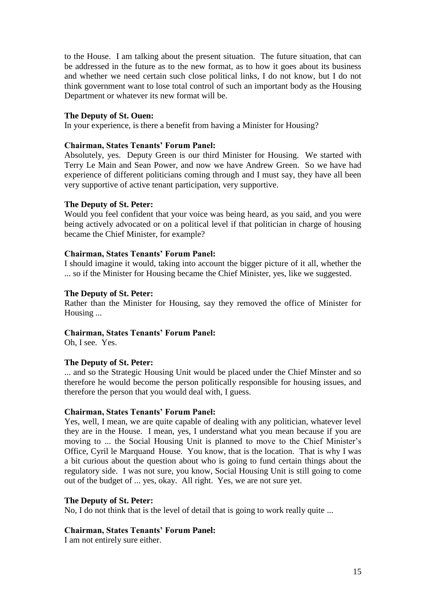to the House. I am talking about the present situation. The future situation, that can be addressed in the future as to the new format, as to how it goes about its business and whether we need certain such close political links, I do not know, but I do not think government want to lose total control of such an important body as the Housing Department or whatever its new format will be.

## **The Deputy of St. Ouen:**

In your experience, is there a benefit from having a Minister for Housing?

## **Chairman, States Tenants' Forum Panel:**

Absolutely, yes. Deputy Green is our third Minister for Housing. We started with Terry Le Main and Sean Power, and now we have Andrew Green. So we have had experience of different politicians coming through and I must say, they have all been very supportive of active tenant participation, very supportive.

#### **The Deputy of St. Peter:**

Would you feel confident that your voice was being heard, as you said, and you were being actively advocated or on a political level if that politician in charge of housing became the Chief Minister, for example?

#### **Chairman, States Tenants' Forum Panel:**

I should imagine it would, taking into account the bigger picture of it all, whether the ... so if the Minister for Housing became the Chief Minister, yes, like we suggested.

#### **The Deputy of St. Peter:**

Rather than the Minister for Housing, say they removed the office of Minister for Housing ...

#### **Chairman, States Tenants' Forum Panel:**

Oh, I see. Yes.

## **The Deputy of St. Peter:**

... and so the Strategic Housing Unit would be placed under the Chief Minster and so therefore he would become the person politically responsible for housing issues, and therefore the person that you would deal with, I guess.

#### **Chairman, States Tenants' Forum Panel:**

Yes, well, I mean, we are quite capable of dealing with any politician, whatever level they are in the House. I mean, yes, I understand what you mean because if you are moving to ... the Social Housing Unit is planned to move to the Chief Minister's Office, Cyril le Marquand House. You know, that is the location. That is why I was a bit curious about the question about who is going to fund certain things about the regulatory side. I was not sure, you know, Social Housing Unit is still going to come out of the budget of ... yes, okay. All right. Yes, we are not sure yet.

#### **The Deputy of St. Peter:**

No, I do not think that is the level of detail that is going to work really quite ...

## **Chairman, States Tenants' Forum Panel:**

I am not entirely sure either.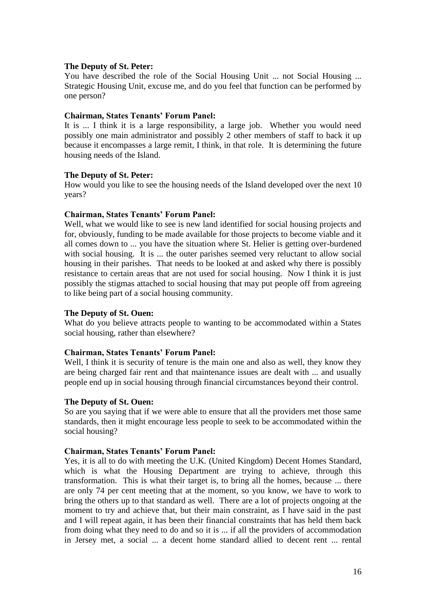## **The Deputy of St. Peter:**

You have described the role of the Social Housing Unit ... not Social Housing ... Strategic Housing Unit, excuse me, and do you feel that function can be performed by one person?

#### **Chairman, States Tenants' Forum Panel:**

It is ... I think it is a large responsibility, a large job. Whether you would need possibly one main administrator and possibly 2 other members of staff to back it up because it encompasses a large remit, I think, in that role. It is determining the future housing needs of the Island.

#### **The Deputy of St. Peter:**

How would you like to see the housing needs of the Island developed over the next 10 years?

## **Chairman, States Tenants' Forum Panel:**

Well, what we would like to see is new land identified for social housing projects and for, obviously, funding to be made available for those projects to become viable and it all comes down to ... you have the situation where St. Helier is getting over-burdened with social housing. It is ... the outer parishes seemed very reluctant to allow social housing in their parishes. That needs to be looked at and asked why there is possibly resistance to certain areas that are not used for social housing. Now I think it is just possibly the stigmas attached to social housing that may put people off from agreeing to like being part of a social housing community.

## **The Deputy of St. Ouen:**

What do you believe attracts people to wanting to be accommodated within a States social housing, rather than elsewhere?

## **Chairman, States Tenants' Forum Panel:**

Well, I think it is security of tenure is the main one and also as well, they know they are being charged fair rent and that maintenance issues are dealt with ... and usually people end up in social housing through financial circumstances beyond their control.

#### **The Deputy of St. Ouen:**

So are you saying that if we were able to ensure that all the providers met those same standards, then it might encourage less people to seek to be accommodated within the social housing?

#### **Chairman, States Tenants' Forum Panel:**

Yes, it is all to do with meeting the U.K. (United Kingdom) Decent Homes Standard, which is what the Housing Department are trying to achieve, through this transformation. This is what their target is, to bring all the homes, because ... there are only 74 per cent meeting that at the moment, so you know, we have to work to bring the others up to that standard as well. There are a lot of projects ongoing at the moment to try and achieve that, but their main constraint, as I have said in the past and I will repeat again, it has been their financial constraints that has held them back from doing what they need to do and so it is ... if all the providers of accommodation in Jersey met, a social ... a decent home standard allied to decent rent ... rental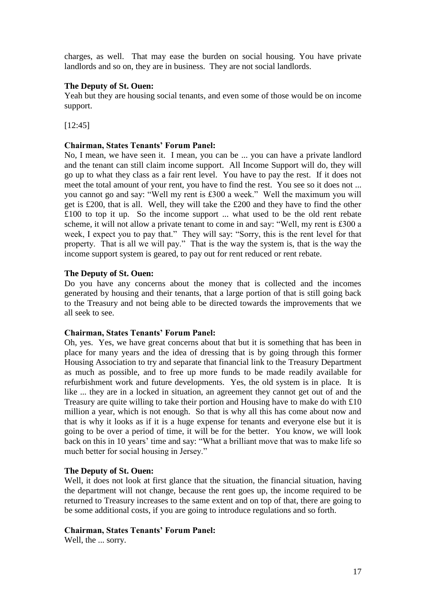charges, as well. That may ease the burden on social housing. You have private landlords and so on, they are in business. They are not social landlords.

## **The Deputy of St. Ouen:**

Yeah but they are housing social tenants, and even some of those would be on income support.

[12:45]

## **Chairman, States Tenants' Forum Panel:**

No, I mean, we have seen it. I mean, you can be ... you can have a private landlord and the tenant can still claim income support. All Income Support will do, they will go up to what they class as a fair rent level. You have to pay the rest. If it does not meet the total amount of your rent, you have to find the rest. You see so it does not ... you cannot go and say: "Well my rent is £300 a week." Well the maximum you will get is £200, that is all. Well, they will take the £200 and they have to find the other £100 to top it up. So the income support ... what used to be the old rent rebate scheme, it will not allow a private tenant to come in and say: "Well, my rent is £300 a week, I expect you to pay that." They will say: "Sorry, this is the rent level for that property. That is all we will pay." That is the way the system is, that is the way the income support system is geared, to pay out for rent reduced or rent rebate.

## **The Deputy of St. Ouen:**

Do you have any concerns about the money that is collected and the incomes generated by housing and their tenants, that a large portion of that is still going back to the Treasury and not being able to be directed towards the improvements that we all seek to see.

## **Chairman, States Tenants' Forum Panel:**

Oh, yes. Yes, we have great concerns about that but it is something that has been in place for many years and the idea of dressing that is by going through this former Housing Association to try and separate that financial link to the Treasury Department as much as possible, and to free up more funds to be made readily available for refurbishment work and future developments. Yes, the old system is in place. It is like ... they are in a locked in situation, an agreement they cannot get out of and the Treasury are quite willing to take their portion and Housing have to make do with £10 million a year, which is not enough. So that is why all this has come about now and that is why it looks as if it is a huge expense for tenants and everyone else but it is going to be over a period of time, it will be for the better. You know, we will look back on this in 10 years' time and say: "What a brilliant move that was to make life so much better for social housing in Jersey."

## **The Deputy of St. Ouen:**

Well, it does not look at first glance that the situation, the financial situation, having the department will not change, because the rent goes up, the income required to be returned to Treasury increases to the same extent and on top of that, there are going to be some additional costs, if you are going to introduce regulations and so forth.

## **Chairman, States Tenants' Forum Panel:**

Well, the ... sorry.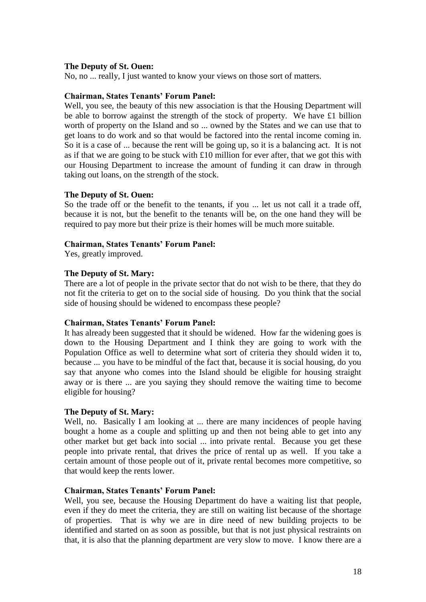## **The Deputy of St. Ouen:**

No, no ... really, I just wanted to know your views on those sort of matters.

#### **Chairman, States Tenants' Forum Panel:**

Well, you see, the beauty of this new association is that the Housing Department will be able to borrow against the strength of the stock of property. We have £1 billion worth of property on the Island and so ... owned by the States and we can use that to get loans to do work and so that would be factored into the rental income coming in. So it is a case of ... because the rent will be going up, so it is a balancing act. It is not as if that we are going to be stuck with £10 million for ever after, that we got this with our Housing Department to increase the amount of funding it can draw in through taking out loans, on the strength of the stock.

#### **The Deputy of St. Ouen:**

So the trade off or the benefit to the tenants, if you ... let us not call it a trade off, because it is not, but the benefit to the tenants will be, on the one hand they will be required to pay more but their prize is their homes will be much more suitable.

#### **Chairman, States Tenants' Forum Panel:**

Yes, greatly improved.

## **The Deputy of St. Mary:**

There are a lot of people in the private sector that do not wish to be there, that they do not fit the criteria to get on to the social side of housing. Do you think that the social side of housing should be widened to encompass these people?

#### **Chairman, States Tenants' Forum Panel:**

It has already been suggested that it should be widened. How far the widening goes is down to the Housing Department and I think they are going to work with the Population Office as well to determine what sort of criteria they should widen it to, because ... you have to be mindful of the fact that, because it is social housing, do you say that anyone who comes into the Island should be eligible for housing straight away or is there ... are you saying they should remove the waiting time to become eligible for housing?

## **The Deputy of St. Mary:**

Well, no. Basically I am looking at ... there are many incidences of people having bought a home as a couple and splitting up and then not being able to get into any other market but get back into social ... into private rental. Because you get these people into private rental, that drives the price of rental up as well. If you take a certain amount of those people out of it, private rental becomes more competitive, so that would keep the rents lower.

## **Chairman, States Tenants' Forum Panel:**

Well, you see, because the Housing Department do have a waiting list that people, even if they do meet the criteria, they are still on waiting list because of the shortage of properties. That is why we are in dire need of new building projects to be identified and started on as soon as possible, but that is not just physical restraints on that, it is also that the planning department are very slow to move. I know there are a